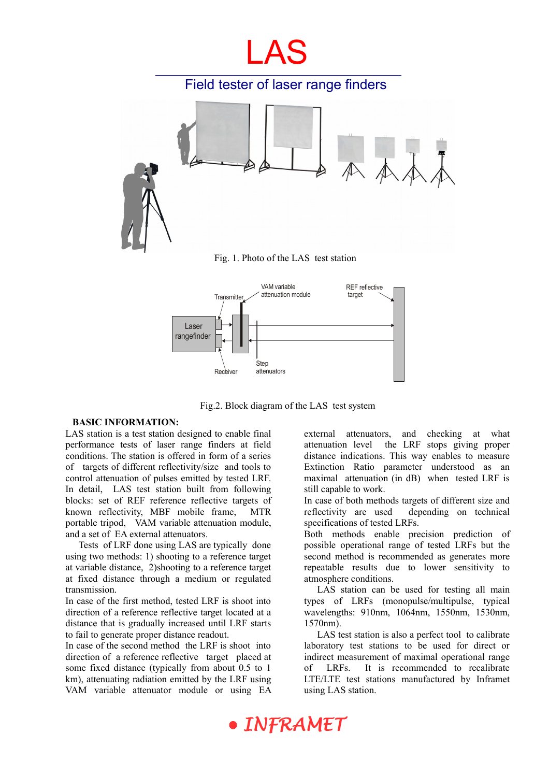

Fig.2. Block diagram of the LAS test system

#### **BASIC INFORMATION:**

LAS station is a test station designed to enable final performance tests of laser range finders at field conditions. The station is offered in form of a series of targets of different reflectivity/size and tools to control attenuation of pulses emitted by tested LRF. In detail, LAS test station built from following blocks: set of REF reference reflective targets of known reflectivity, MBF mobile frame, MTR portable tripod, VAM variable attenuation module, and a set of EA external attenuators.

Tests of LRF done using LAS are typically done using two methods: 1) shooting to a reference target at variable distance, 2)shooting to a reference target at fixed distance through a medium or regulated transmission.

In case of the first method, tested LRF is shoot into direction of a reference reflective target located at a distance that is gradually increased until LRF starts to fail to generate proper distance readout.

In case of the second method the LRF is shoot into direction of a reference reflective target placed at some fixed distance (typically from about 0.5 to 1 km), attenuating radiation emitted by the LRF using VAM variable attenuator module or using EA external attenuators, and checking at what attenuation level the LRF stops giving proper distance indications. This way enables to measure Extinction Ratio parameter understood as an maximal attenuation (in dB) when tested LRF is still capable to work.

In case of both methods targets of different size and reflectivity are used depending on technical specifications of tested LRFs.

Both methods enable precision prediction of possible operational range of tested LRFs but the second method is recommended as generates more repeatable results due to lower sensitivity to atmosphere conditions.

LAS station can be used for testing all main types of LRFs (monopulse/multipulse, typical wavelengths: 910nm, 1064nm, 1550nm, 1530nm, 1570nm).

LAS test station is also a perfect tool to calibrate laboratory test stations to be used for direct or indirect measurement of maximal operational range of LRFs. It is recommended to recalibrate LTE/LTE test stations manufactured by Inframet using LAS station.